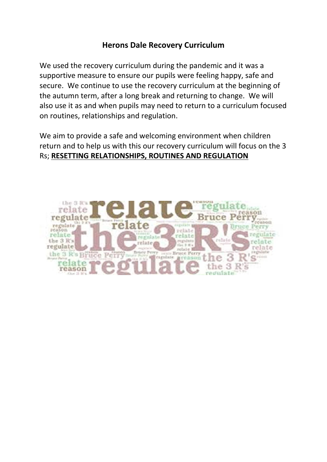#### **Herons Dale Recovery Curriculum**

We used the recovery curriculum during the pandemic and it was a supportive measure to ensure our pupils were feeling happy, safe and secure. We continue to use the recovery curriculum at the beginning of the autumn term, after a long break and returning to change. We will also use it as and when pupils may need to return to a curriculum focused on routines, relationships and regulation.

We aim to provide a safe and welcoming environment when children return and to help us with this our recovery curriculum will focus on the 3 Rs; **RESETTING RELATIONSHIPS, ROUTINES AND REGULATION**

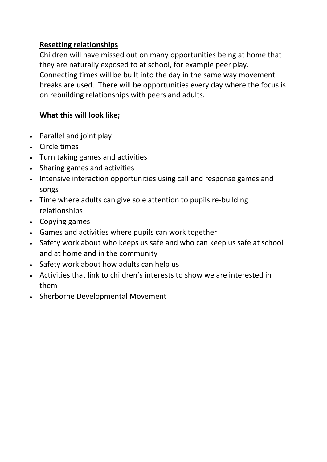### **Resetting relationships**

Children will have missed out on many opportunities being at home that they are naturally exposed to at school, for example peer play. Connecting times will be built into the day in the same way movement breaks are used. There will be opportunities every day where the focus is on rebuilding relationships with peers and adults.

# **What this will look like;**

- Parallel and joint play
- Circle times
- Turn taking games and activities
- Sharing games and activities
- Intensive interaction opportunities using call and response games and songs
- Time where adults can give sole attention to pupils re-building relationships
- Copying games
- Games and activities where pupils can work together
- Safety work about who keeps us safe and who can keep us safe at school and at home and in the community
- Safety work about how adults can help us
- Activities that link to children's interests to show we are interested in them
- Sherborne Developmental Movement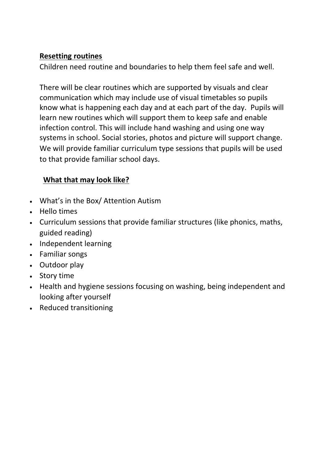#### **Resetting routines**

Children need routine and boundaries to help them feel safe and well.

There will be clear routines which are supported by visuals and clear communication which may include use of visual timetables so pupils know what is happening each day and at each part of the day. Pupils will learn new routines which will support them to keep safe and enable infection control. This will include hand washing and using one way systems in school. Social stories, photos and picture will support change. We will provide familiar curriculum type sessions that pupils will be used to that provide familiar school days.

## **What that may look like?**

- What's in the Box/ Attention Autism
- Hello times
- Curriculum sessions that provide familiar structures (like phonics, maths, guided reading)
- Independent learning
- Familiar songs
- Outdoor play
- Story time
- Health and hygiene sessions focusing on washing, being independent and looking after yourself
- Reduced transitioning